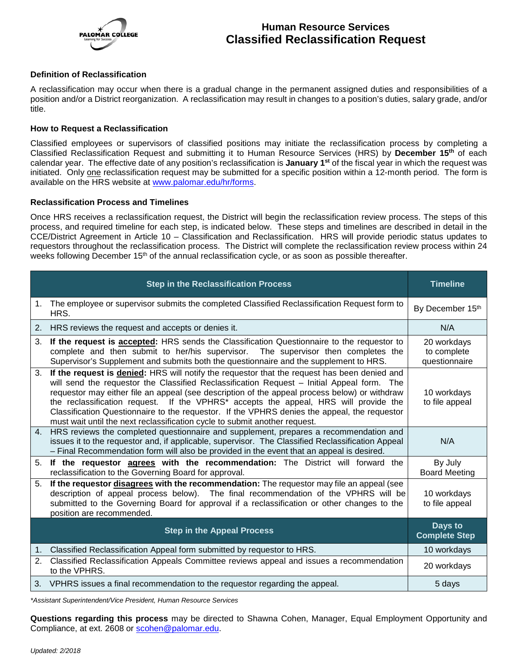

# **Human Resource Services Classified Reclassification Request**

### **Definition of Reclassification**

A reclassification may occur when there is a gradual change in the permanent assigned duties and responsibilities of a position and/or a District reorganization. A reclassification may result in changes to a position's duties, salary grade, and/or title.

#### **How to Request a Reclassification**

Classified employees or supervisors of classified positions may initiate the reclassification process by completing a Classified Reclassification Request and submitting it to Human Resource Services (HRS) by **December 15th** of each calendar year. The effective date of any position's reclassification is **January 1st** of the fiscal year in which the request was initiated. Only one reclassification request may be submitted for a specific position within a 12-month period. The form is available on the HRS website at [www.palomar.edu/hr/forms.](http://www.palomar.edu/hr/forms)

#### **Reclassification Process and Timelines**

Once HRS receives a reclassification request, the District will begin the reclassification review process. The steps of this process, and required timeline for each step, is indicated below. These steps and timelines are described in detail in the CCE/District Agreement in Article 10 – Classification and Reclassification. HRS will provide periodic status updates to requestors throughout the reclassification process. The District will complete the reclassification review process within 24 weeks following December 15<sup>th</sup> of the annual reclassification cycle, or as soon as possible thereafter.

|    | <b>Timeline</b>                                                                                                                                                                                                                                                                                                                                                                                                                                                                                                                                                                  |                                             |
|----|----------------------------------------------------------------------------------------------------------------------------------------------------------------------------------------------------------------------------------------------------------------------------------------------------------------------------------------------------------------------------------------------------------------------------------------------------------------------------------------------------------------------------------------------------------------------------------|---------------------------------------------|
| 1. | The employee or supervisor submits the completed Classified Reclassification Request form to<br>HRS.                                                                                                                                                                                                                                                                                                                                                                                                                                                                             | By December 15th                            |
| 2. | HRS reviews the request and accepts or denies it.                                                                                                                                                                                                                                                                                                                                                                                                                                                                                                                                | N/A                                         |
| 3. | If the request is <b>accepted:</b> HRS sends the Classification Questionnaire to the requestor to<br>complete and then submit to her/his supervisor. The supervisor then completes the<br>Supervisor's Supplement and submits both the questionnaire and the supplement to HRS.                                                                                                                                                                                                                                                                                                  | 20 workdays<br>to complete<br>questionnaire |
|    | 3. If the request is denied: HRS will notify the requestor that the request has been denied and<br>will send the requestor the Classified Reclassification Request - Initial Appeal form. The<br>requestor may either file an appeal (see description of the appeal process below) or withdraw<br>the reclassification request. If the VPHRS <sup>*</sup> accepts the appeal, HRS will provide the<br>Classification Questionnaire to the requestor. If the VPHRS denies the appeal, the requestor<br>must wait until the next reclassification cycle to submit another request. | 10 workdays<br>to file appeal               |
|    | 4. HRS reviews the completed questionnaire and supplement, prepares a recommendation and<br>issues it to the requestor and, if applicable, supervisor. The Classified Reclassification Appeal<br>- Final Recommendation form will also be provided in the event that an appeal is desired.                                                                                                                                                                                                                                                                                       | N/A                                         |
| 5. | If the requestor agrees with the recommendation: The District will forward the<br>reclassification to the Governing Board for approval.                                                                                                                                                                                                                                                                                                                                                                                                                                          | By July<br><b>Board Meeting</b>             |
| 5. | If the requestor disagrees with the recommendation: The requestor may file an appeal (see<br>description of appeal process below). The final recommendation of the VPHRS will be<br>submitted to the Governing Board for approval if a reclassification or other changes to the<br>position are recommended.                                                                                                                                                                                                                                                                     | 10 workdays<br>to file appeal               |
|    | <b>Step in the Appeal Process</b>                                                                                                                                                                                                                                                                                                                                                                                                                                                                                                                                                | Days to<br><b>Complete Step</b>             |
| 1. | Classified Reclassification Appeal form submitted by requestor to HRS.                                                                                                                                                                                                                                                                                                                                                                                                                                                                                                           | 10 workdays                                 |
| 2. | Classified Reclassification Appeals Committee reviews appeal and issues a recommendation<br>to the VPHRS.                                                                                                                                                                                                                                                                                                                                                                                                                                                                        | 20 workdays                                 |
|    | 3. VPHRS issues a final recommendation to the requestor regarding the appeal.                                                                                                                                                                                                                                                                                                                                                                                                                                                                                                    | 5 days                                      |

*\*Assistant Superintendent/Vice President, Human Resource Services*

**Questions regarding this process** may be directed to Shawna Cohen, Manager, Equal Employment Opportunity and Compliance, at ext. 2608 or [scohen@palomar.edu.](mailto:scohen@palomar.edu)